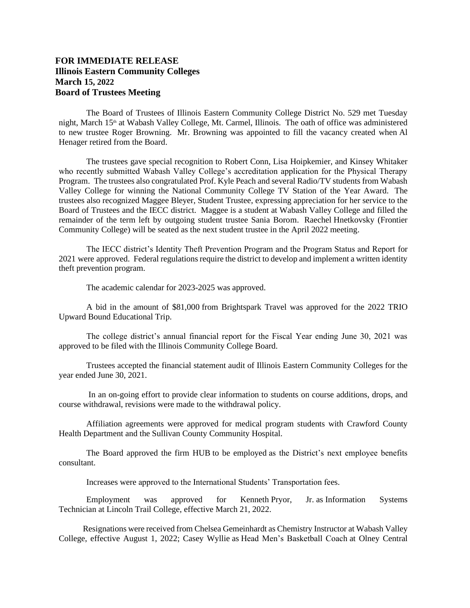## **FOR IMMEDIATE RELEASE Illinois Eastern Community Colleges March 15, 2022 Board of Trustees Meeting**

The Board of Trustees of Illinois Eastern Community College District No. 529 met Tuesday night, March 15<sup>th</sup> at Wabash Valley College, Mt. Carmel, Illinois. The oath of office was administered to new trustee Roger Browning. Mr. Browning was appointed to fill the vacancy created when Al Henager retired from the Board.

The trustees gave special recognition to Robert Conn, Lisa Hoipkemier, and Kinsey Whitaker who recently submitted Wabash Valley College's accreditation application for the Physical Therapy Program. The trustees also congratulated Prof. Kyle Peach and several Radio/TV students from Wabash Valley College for winning the National Community College TV Station of the Year Award. The trustees also recognized Maggee Bleyer, Student Trustee, expressing appreciation for her service to the Board of Trustees and the IECC district. Maggee is a student at Wabash Valley College and filled the remainder of the term left by outgoing student trustee Sania Borom. Raechel Hnetkovsky (Frontier Community College) will be seated as the next student trustee in the April 2022 meeting.

The IECC district's Identity Theft Prevention Program and the Program Status and Report for 2021 were approved. Federal regulations require the district to develop and implement a written identity theft prevention program.

The academic calendar for 2023-2025 was approved.

A bid in the amount of \$81,000 from Brightspark Travel was approved for the 2022 TRIO Upward Bound Educational Trip.

The college district's annual financial report for the Fiscal Year ending June 30, 2021 was approved to be filed with the Illinois Community College Board.

Trustees accepted the financial statement audit of Illinois Eastern Community Colleges for the year ended June 30, 2021.

In an on-going effort to provide clear information to students on course additions, drops, and course withdrawal, revisions were made to the withdrawal policy.

Affiliation agreements were approved for medical program students with Crawford County Health Department and the Sullivan County Community Hospital.

The Board approved the firm HUB to be employed as the District's next employee benefits consultant.

Increases were approved to the International Students' Transportation fees.

Employment was approved for Kenneth Pryor, Jr. as Information Systems Technician at Lincoln Trail College, effective March 21, 2022.

Resignations were received from Chelsea Gemeinhardt as Chemistry Instructor at Wabash Valley College, effective August 1, 2022; Casey Wyllie as Head Men's Basketball Coach at Olney Central